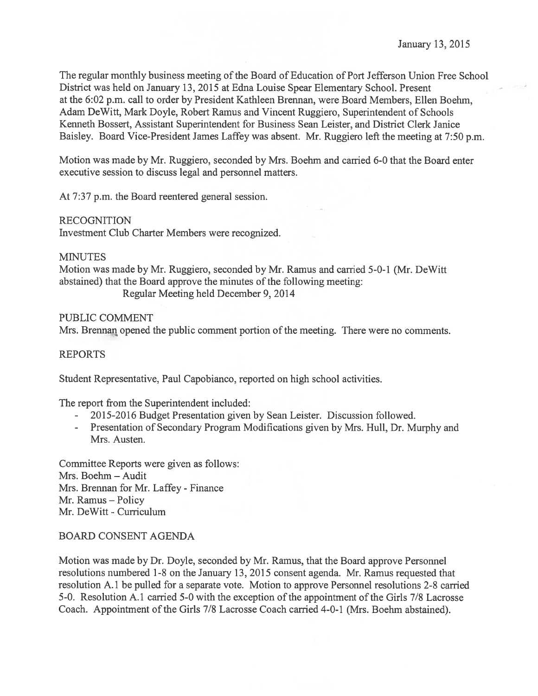The regular monthly business meeting of the Board of Education of Port Jefferson Union Free School District was held on January 13, 2015 at Edna Louise Spear Elementary School. Present at the 6:02 p.m. call to order by President Kathleen Brennan, were Board Members, Ellen Boehrn, Adam DeWitt, Mark Doyle, Robert Ramus and Vincent Ruggiero, Superintendent of Schools Kenneth Bossert, Assistant Superintendent for Business Sean Leister, and District Clerk Janice Baisley. Board Vice-President James Laffey was absent. Mr. Ruggiero left the meeting at 7:50 p.m.

Motion was made by Mr. Ruggiero, seconded by Mrs. Boehm and carried 6-0 that the Board enter executive session to discuss legal and personnel matters.

At 7:37 p.m. the Board reentered general session.

### RECOGNITION

Investment Club Charter Members were recognized.

### **MINUTES**

Motion was made by Mr. Ruggiero, seconded by Mr. Ramus and carried 5-0-1 (Mr. DeWitt abstained) that the Board approve the minutes of the following meeting:

Regular Meeting held December 9, 2014

## PUBLIC COMMENT

Mrs. Brennan opened the public comment portion of the meeting. There were no comments.

## REPORTS

Student Representative, Paul Capobianco, reported on high school activities.

The repor<sup>t</sup> from the Superintendent included:

- 2015-2016 Budget Presentation given by Sean Leister. Discussion followed.
- Presentation of Secondary Program Modifications given by Mrs. Hull, Dr. Murphy and Mrs. Austen.

Committee Reports were given as follows: Mrs. Boehm — Audit Mrs. Brennan for Mr. Laffey - Finance Mr. Ramus — Policy Mr. DeWitt - Curriculum

## BOARD CONSENT AGENDA

Motion was made by Dr. Doyle, seconded by Mr. Ramus, that the Board approve Personnel resolutions numbered 1-8 on the January 13, 2015 consent agenda. Mr. Ramus requested that resolution A. 1 be pulled for <sup>a</sup> separate vote. Motion to approve Personnel resolutions 2-8 carried 5-0. Resolution A.l carried 5-0 with the exception of the appointment of the Girls 7/8 Lacrosse Coach. Appointment of the Girls 7/8 Lacrosse Coach carried 4-0-1 (Mrs. Boehm abstained).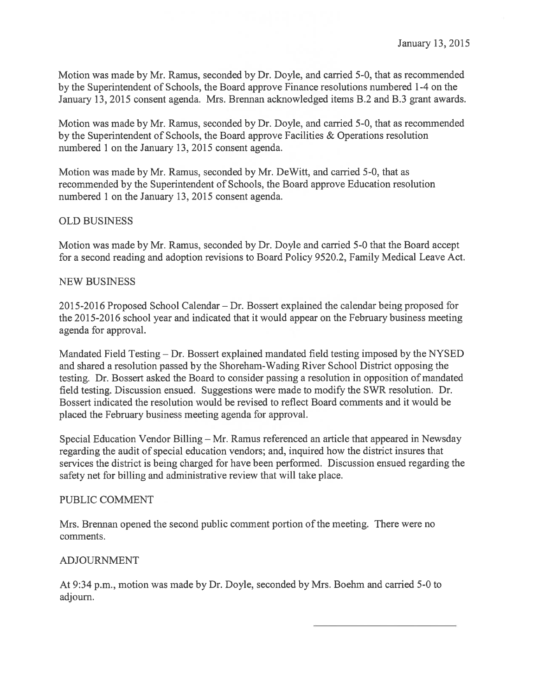Motion was made by Mr. Ramus, seconded by Dr. Doyle, and carried 5-0, that as recommended by the Superintendent of Schools, the Board approve Finance resolutions numbered 1-4 on the January 13, 2015 consent agenda. Mrs. Brennan acknowledged items B.2 and B.3 gran<sup>t</sup> awards.

Motion was made by Mr. Ramus, seconded by Dr. Doyle, and carried 5-0, that as recommended by the Superintendent of Schools, the Board approve Facilities & Operations resolution numbered 1 on the January 13, 2015 consent agenda.

Motion was made by Mr. Ramus, seconded by Mr. DeWitt, and carried 5-0, that as recommended by the Superintendent of Schools, the Board approve Education resolution numbered 1 on the January 13, 2015 consent agenda.

# OLD BUSINESS

Motion was made by Mr. Ramus, seconded by Dr. Doyle and carried 5-0 that the Board accep<sup>t</sup> for <sup>a</sup> second reading and adoption revisions to Board Policy 9520.2, Family Medical Leave Act.

## NEW BUSINESS

2015-2016 Proposed School Calendar — Dr. Bossert explained the calendar being proposed for the 2015-2016 school year and indicated that it would appear on the February business meeting agenda for approval.

Mandated Field Testing — Dr. Bossert explained mandated field testing imposed by the NYSED and shared <sup>a</sup> resolution passed by the Shoreham-Wading River School District opposing the testing. Dr. Bossert asked the Board to consider passing <sup>a</sup> resolution in opposition of mandated field testing. Discussion ensued. Suggestions were made to modify the SWR resolution. Dr. Bossert indicated the resolution would be revised to reflect Board comments and it would be placed the February business meeting agenda for approval.

Special Education Vendor Billing — Mr. Ramus referenced an article that appeared in Newsday regarding the audit of special education vendors; and, inquired how the district insures that services the district is being charged for have been performed. Discussion ensued regarding the safety net for billing and administrative review that will take place.

## PUBLIC COMMENT

Mrs. Brennan opened the second public comment portion of the meeting. There were no comments.

# ADJOURNMENT

At 9:34 p.m., motion was made by Dr. Doyle, seconded by Mrs. Boehm and carried 5-0 to adjourn.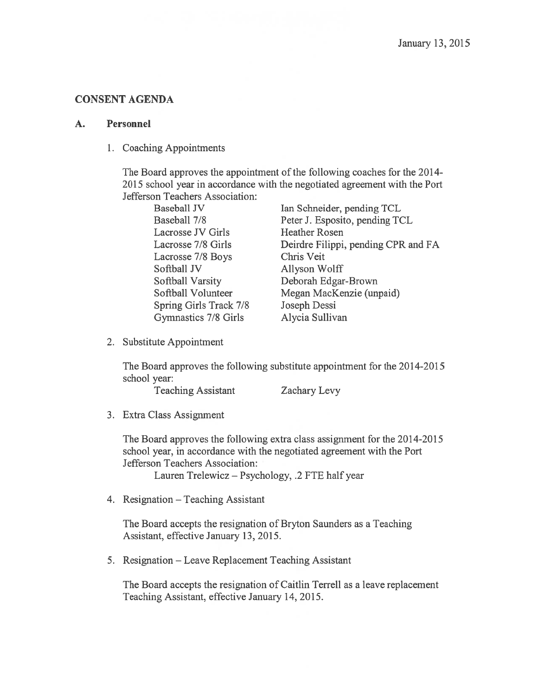# CONSENT AGENDA

### A. Personnel

1. Coaching Appointments

The Board approves the appointment of the following coaches for the 2014-2015 school year in accordance with the negotiated agreemen<sup>t</sup> with the Port Jefferson Teachers Association:

| Baseball JV            | Ian Schneider, pending TCL          |
|------------------------|-------------------------------------|
| Baseball 7/8           |                                     |
|                        | Peter J. Esposito, pending TCL      |
| Lacrosse JV Girls      | <b>Heather Rosen</b>                |
| Lacrosse 7/8 Girls     | Deirdre Filippi, pending CPR and FA |
| Lacrosse 7/8 Boys      | Chris Veit                          |
| Softball JV            | Allyson Wolff                       |
| Softball Varsity       | Deborah Edgar-Brown                 |
| Softball Volunteer     | Megan MacKenzie (unpaid)            |
| Spring Girls Track 7/8 | Joseph Dessi                        |
| Gymnastics 7/8 Girls   | Alycia Sullivan                     |

2. Substitute Appointment

The Board approves the following substitute appointment for the 2014-2015 school year:

Teaching Assistant Zachary Levy

3. Extra Class Assignment

The Board approves the following extra class assignment for the 2014-2015 school year, in accordance with the negotiated agreemen<sup>t</sup> with the Port Jefferson Teachers Association:

Lauren Trelewicz — Psychology, .2 FTE half year

4. Resignation — Teaching Assistant

The Board accepts the resignation of Bryton Saunders as <sup>a</sup> Teaching Assistant, effective January 13, 2015.

5. Resignation — Leave Replacement Teaching Assistant

The Board accepts the resignation of Caitlin Terrell as <sup>a</sup> leave replacement Teaching Assistant, effective January 14, 2015.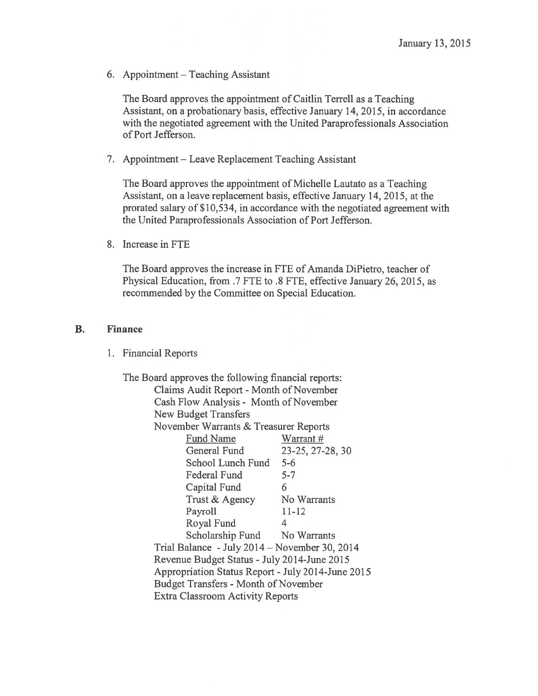6. Appointment — Teaching Assistant

The Board approves the appointment of Caitlin Terrell as <sup>a</sup> Teaching Assistant, on <sup>a</sup> probationary basis, effective January 14, 2015, in accordance with the negotiated agreemen<sup>t</sup> with the United Paraprofessionals Association of Port Jefferson.

7. Appointment — Leave Replacement Teaching Assistant

The Board approves the appointment of Michelle Lautato as <sup>a</sup> Teaching Assistant, on <sup>a</sup> leave replacement basis, effective January 14, 2015, at the prorated salary of\$10,534, in accordance with the negotiated agreemen<sup>t</sup> with the United Paraprofessionals Association of Port Jefferson.

8. Increase in FTE

The Board approves the increase in FTE of Amanda DiPietro, teacher of Physical Education, from .7 FTE to .8 FTE, effective January 26, 2015, as recommended by the Committee on Special Education.

## B. Finance

1. Financial Reports

The Board approves the following financial reports: Claims Audit Report - Month of November Cash Flow Analysis - Month of November New Budget Transfers November Warrants & Treasurer Reports Fund Name Warrant # General Fund 23-25, 27-28, 30 School Lunch Fund 5-6 Federal Fund 5-7 Capital Fund 6 Trust & Agency No Warrants Payroll 11-12 Royal Fund 4 Scholarship Fund No Warrants Trial Balance -July 2014— November 30, 2014 Revenue Budget Status -July 2014-June 2015 Appropriation Status Report -July 2014-June 2015 Budget Transfers - Month of November Extra Classroom Activity Reports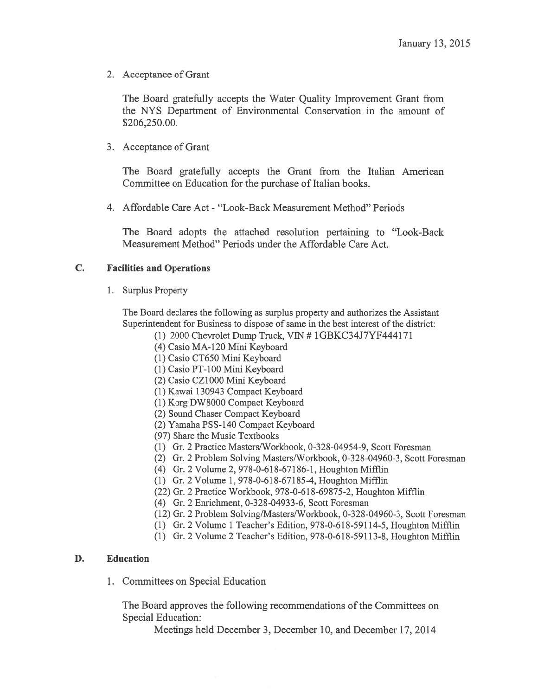2. Acceptance of Grant

The Board gratefully accepts the Water Quality Improvement Grant from the NYS Department of Environmental Conservation in the amount of \$206,250.00.

3. Acceptance of Grant

The Board gratefully accepts the Grant from the Italian American Committee on Education for the purchase of Italian books.

4. Affordable Care Act - "Look-Back Measurement Method" Periods

The Board adopts the attached resolution pertaining to "Look-Back Measurement Method" Periods under the Affordable Care Act.

#### C. Facilities and Operations

1. Surplus Property

The Board declares the following as surplus property and authorizes the Assistant Superintendent for Business to dispose of same in the best interest of the district:

- (1) 2000 Chevrolet Dump Truck, yIN # 1GBKC34J7YF4441 71
- (4) Casio MA-120 Mini Keyboard
- (1) Casio CT650 Mini Keyboard
- (1) Casio PT-100 Mini Keyboard
- (2) Casio CZ1000 Mini Keyboard
- (1) Kawai 130943 Compact Keyboard
- (1) Korg DW8000 Compact Keyboard
- (2) Sound Chaser Compact Keyboard
- (2) Yamaha PSS-140 Compact Keyboard
- (97) Share the Music Textbooks
- (1) Gr. 2 Practice Masters/Workbook, 0-328-04954-9, Scott Foresman
- (2) Gr. 2 Problem Solving Masters/Workbook, 0-328-04960-3, Scott Foresman
- (4) Gr. 2 Volume 2, 978-0-618-67186-1, Houghton Mifflin
- (1) Gr. 2 Volume 1, 978-0-618-67185-4, Houghton Mifflin
- (22) Gr. 2 Practice Workbook, 978-0-618-69875-2, Houghton Mifflin
- (4) Gr. 2 Enrichment, 0-328-04933-6, Scott Foresman
- (12) Gr. 2 Problem Solving/Masters/Workbook, 0-328-04960-3, Scott Foresman
- (1) Gr. 2 Volume 1 Teacher's Edition, 978-0-618-591 14-5, Houghton Mifflin
- (1) Gr. 2 Volume 2 Teacher's Edition,  $978-0-618-59113-8$ , Houghton Mifflin

#### D. Education

1. Committees on Special Education

The Board approves the following recommendations of the Committees on Special Education:

Meetings held December 3, December 10, and December 17, 2014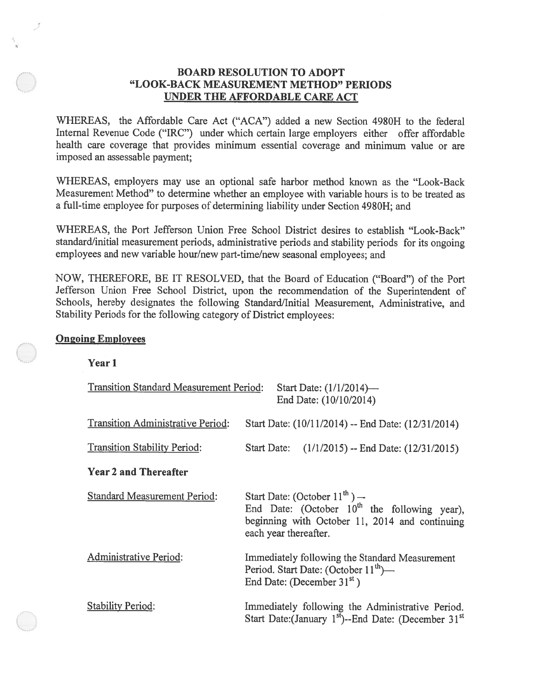## BOARD RESOLUTION TO ADOPT "LOOK-BACK MEASUREMENT METHOD" PERIODS UNDER THE AFFORDABLE CARE ACT

WHEREAS, the Affordable Care Act ("ACA") added <sup>a</sup> new Section 4980H to the federal Internal Revenue Code ("IRC") under which certain large employers either offer affordable health care coverage that provides minimum essential coverage and minimum value or are imposed an assessable payment;

WHEREAS, employers may use an optional safe harbor method known as the "Look-Back Measurement Method" to determine whether an employee with variable hours is to be treated as <sup>a</sup> full-time employee for purposes of determining liability under Section 4980H; and

WHEREAS, the Port Jefferson Union Free School District desires to establish "Look-Back" standard/initial measurement periods, administrative periods and stability periods for its ongoing employees and new variable hour/new part-time/new seasonal employees; and

NOW, THEREFORE, BE IT RESOLVED, that the Board of Education ("Board") of the Port Jefferson Union Free School District, upon the recommendation of the Superintendent of Schools, hereby designates the following Standard/Initial Measurement, Administrative, and Stability Periods for the following category of District employees:

#### Ongoing Employees

Year 1

| <b>Transition Standard Measurement Period:</b><br>Start Date: (1/1/2014)-<br>End Date: (10/10/2014) |                                                                                                                                                                    |
|-----------------------------------------------------------------------------------------------------|--------------------------------------------------------------------------------------------------------------------------------------------------------------------|
| Transition Administrative Period:                                                                   | Start Date: (10/11/2014) -- End Date: (12/31/2014)                                                                                                                 |
| <b>Transition Stability Period:</b>                                                                 | $(1/1/2015) -$ End Date: $(12/31/2015)$<br>Start Date:                                                                                                             |
| <b>Year 2 and Thereafter</b>                                                                        |                                                                                                                                                                    |
| <b>Standard Measurement Period:</b>                                                                 | Start Date: (October $11^{th}$ ) —<br>End Date: (October $10^{th}$ the following year),<br>beginning with October 11, 2014 and continuing<br>each year thereafter. |
| Administrative Period:                                                                              | Immediately following the Standard Measurement<br>Period. Start Date: (October 11 <sup>th</sup> )-<br>End Date: (December 31 <sup>st</sup> )                       |
| <b>Stability Period:</b>                                                                            | Immediately following the Administrative Period.<br>Start Date: (January 1st)--End Date: (December 31st)                                                           |